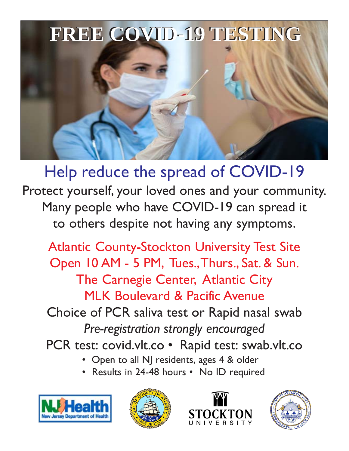

Help reduce the spread of COVID-19 Protect yourself, your loved ones and your community. Many people who have COVID-19 can spread it to others despite not having any symptoms.

Atlantic County-Stockton University Test Site Open 10 AM - 5 PM, Tues., Thurs., Sat. & Sun. The Carnegie Center, Atlantic City MLK Boulevard & Pacific Avenue Choice of PCR saliva test or Rapid nasal swab *Pre-registration strongly encouraged* PCR test: covid.vlt.co • Rapid test: swab.vlt.co

- Open to all NJ residents, ages 4 & older
- Results in 24-48 hours No ID required







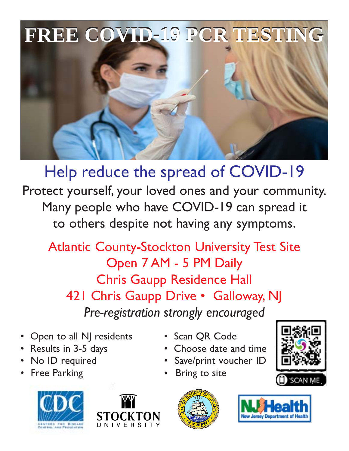

Help reduce the spread of COVID-19

Protect yourself, your loved ones and your community. Many people who have COVID-19 can spread it to others despite not having any symptoms.

Atlantic County-Stockton University Test Site Open 7 AM - 5 PM Daily Chris Gaupp Residence Hall 421 Chris Gaupp Drive • Galloway, NJ *Pre-registration strongly encouraged*

- **Open to all NJ residents** Scan QR Code
- 
- 
- Free Parking **•** Bring to site









- 
- Results in 3-5 days Choose date and time
	- No ID required Save/print voucher ID
		-